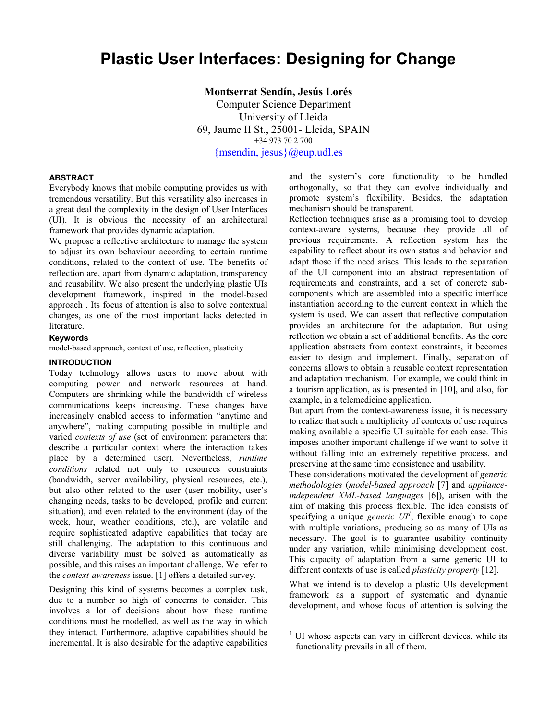# **Plastic User Interfaces: Designing for Change**

**Montserrat Sendín, Jesús Lorés**  Computer Science Department University of Lleida 69, Jaume II St., 25001- Lleida, SPAIN +34 973 70 2 700 [{msendin, jesus}@eup.udl.es](mailto:{msendin, jesus}@eup.udl.es)

-

## **ABSTRACT**

Everybody knows that mobile computing provides us with tremendous versatility. But this versatility also increases in a great deal the complexity in the design of User Interfaces (UI). It is obvious the necessity of an architectural framework that provides dynamic adaptation.

We propose a reflective architecture to manage the system to adjust its own behaviour according to certain runtime conditions, related to the context of use. The benefits of reflection are, apart from dynamic adaptation, transparency and reusability. We also present the underlying plastic UIs development framework, inspired in the model-based approach . Its focus of attention is also to solve contextual changes, as one of the most important lacks detected in literature.

#### **Keywords**

model-based approach, context of use, reflection, plasticity

### **INTRODUCTION**

Today technology allows users to move about with computing power and network resources at hand. Computers are shrinking while the bandwidth of wireless communications keeps increasing. These changes have increasingly enabled access to information "anytime and anywhere", making computing possible in multiple and varied *contexts of use* (set of environment parameters that describe a particular context where the interaction takes place by a determined user). Nevertheless, *runtime conditions* related not only to resources constraints (bandwidth, server availability, physical resources, etc.), but also other related to the user (user mobility, user's changing needs, tasks to be developed, profile and current situation), and even related to the environment (day of the week, hour, weather conditions, etc.), are volatile and require sophisticated adaptive capabilities that today are still challenging. The adaptation to this continuous and diverse variability must be solved as automatically as possible, and this raises an important challenge. We refer to the *context-awareness* issue. [1] offers a detailed survey.

Designing this kind of systems becomes a complex task, due to a number so high of concerns to consider. This involves a lot of decisions about how these runtime conditions must be modelled, as well as the way in which they interact. Furthermore, adaptive capabilities should be incremental. It is also desirable for the adaptive capabilities and the system's core functionality to be handled orthogonally, so that they can evolve individually and promote system's flexibility. Besides, the adaptation mechanism should be transparent.

Reflection techniques arise as a promising tool to develop context-aware systems, because they provide all of previous requirements. A reflection system has the capability to reflect about its own status and behavior and adapt those if the need arises. This leads to the separation of the UI component into an abstract representation of requirements and constraints, and a set of concrete subcomponents which are assembled into a specific interface instantiation according to the current context in which the system is used. We can assert that reflective computation provides an architecture for the adaptation. But using reflection we obtain a set of additional benefits. As the core application abstracts from context constraints, it becomes easier to design and implement. Finally, separation of concerns allows to obtain a reusable context representation and adaptation mechanism. For example, we could think in a tourism application, as is presented in [10], and also, for example, in a telemedicine application.

But apart from the context-awareness issue, it is necessary to realize that such a multiplicity of contexts of use requires making available a specific UI suitable for each case. This imposes another important challenge if we want to solve it without falling into an extremely repetitive process, and preserving at the same time consistence and usability.

These considerations motivated the development of *generic methodologies* (*model-based approach* [7] and *applianceindependent XML-based languages* [6]), arisen with the aim of making this process flexible. The idea consists of specifying a unique *generic*  $UI<sup>1</sup>$  $UI<sup>1</sup>$  $UI<sup>1</sup>$ , flexible enough to cope with multiple variations, producing so as many of UIs as necessary. The goal is to guarantee usability continuity under any variation, while minimising development cost. This capacity of adaptation from a same generic UI to different contexts of use is called *plasticity property* [12].

What we intend is to develop a plastic UIs development framework as a support of systematic and dynamic development, and whose focus of attention is solving the

<span id="page-0-0"></span><sup>&</sup>lt;sup>1</sup> UI whose aspects can vary in different devices, while its functionality prevails in all of them.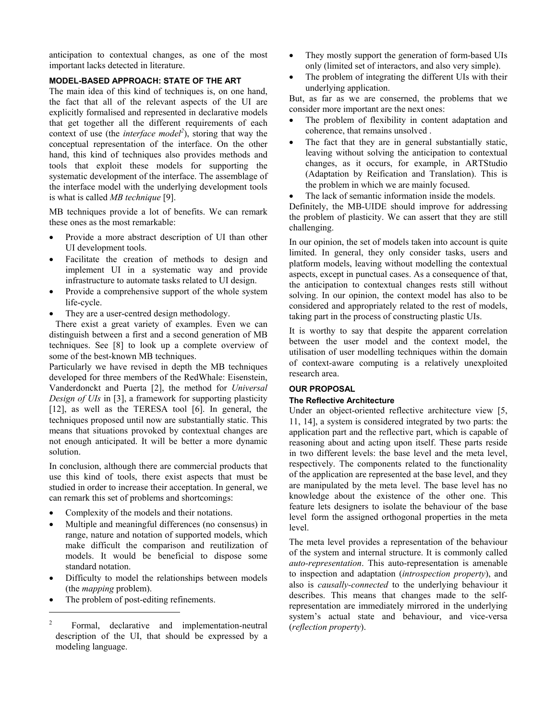anticipation to contextual changes, as one of the most important lacks detected in literature.

# **MODEL-BASED APPROACH: STATE OF THE ART**

The main idea of this kind of techniques is, on one hand, the fact that all of the relevant aspects of the UI are explicitly formalised and represented in declarative models that get together all the different requirements of each context of use (the *interface model<sup>2</sup>*), storing that way the conceptual representation of the interface. On the other hand, this kind of techniques also provides methods and tools that exploit these models for supporting the systematic development of the interface. The assemblage of the interface model with the underlying development tools is what is called *MB technique* [9].

MB techniques provide a lot of benefits. We can remark these ones as the most remarkable:

- Provide a more abstract description of UI than other UI development tools.
- Facilitate the creation of methods to design and implement UI in a systematic way and provide infrastructure to automate tasks related to UI design.
- Provide a comprehensive support of the whole system life-cycle.
- They are a user-centred design methodology.

There exist a great variety of examples. Even we can distinguish between a first and a second generation of MB techniques. See [8] to look up a complete overview of some of the best-known MB techniques.

Particularly we have revised in depth the MB techniques developed for three members of the RedWhale: Eisenstein, Vanderdonckt and Puerta [2], the method for *Universal Design of UIs* in [3], a framework for supporting plasticity [12], as well as the TERESA tool [6]. In general, the techniques proposed until now are substantially static. This means that situations provoked by contextual changes are not enough anticipated. It will be better a more dynamic solution.

In conclusion, although there are commercial products that use this kind of tools, there exist aspects that must be studied in order to increase their acceptation. In general, we can remark this set of problems and shortcomings:

- Complexity of the models and their notations.
- Multiple and meaningful differences (no consensus) in range, nature and notation of supported models, which make difficult the comparison and reutilization of models. It would be beneficial to dispose some standard notation.
- Difficulty to model the relationships between models (the *mapping* problem).
- The problem of post-editing refinements.

 $\overline{\phantom{a}}$ 

- They mostly support the generation of form-based UIs only (limited set of interactors, and also very simple).
- The problem of integrating the different UIs with their underlying application.

But, as far as we are conserned, the problems that we consider more important are the next ones:

- The problem of flexibility in content adaptation and coherence, that remains unsolved .
- The fact that they are in general substantially static, leaving without solving the anticipation to contextual changes, as it occurs, for example, in ARTStudio (Adaptation by Reification and Translation). This is the problem in which we are mainly focused.
- The lack of semantic information inside the models.

Definitely, the MB-UIDE should improve for addressing the problem of plasticity. We can assert that they are still challenging.

In our opinion, the set of models taken into account is quite limited. In general, they only consider tasks, users and platform models, leaving without modelling the contextual aspects, except in punctual cases. As a consequence of that, the anticipation to contextual changes rests still without solving. In our opinion, the context model has also to be considered and appropriately related to the rest of models, taking part in the process of constructing plastic UIs.

It is worthy to say that despite the apparent correlation between the user model and the context model, the utilisation of user modelling techniques within the domain of context-aware computing is a relatively unexploited research area.

## **OUR PROPOSAL**

## **The Reflective Architecture**

Under an object-oriented reflective architecture view [5, 11, 14], a system is considered integrated by two parts: the application part and the reflective part, which is capable of reasoning about and acting upon itself. These parts reside in two different levels: the base level and the meta level, respectively. The components related to the functionality of the application are represented at the base level, and they are manipulated by the meta level. The base level has no knowledge about the existence of the other one. This feature lets designers to isolate the behaviour of the base level form the assigned orthogonal properties in the meta level.

The meta level provides a representation of the behaviour of the system and internal structure. It is commonly called *auto-representation*. This auto-representation is amenable to inspection and adaptation (*introspection property*), and also is *causally-connected* to the underlying behaviour it describes. This means that changes made to the selfrepresentation are immediately mirrored in the underlying system's actual state and behaviour, and vice-versa (*reflection property*).

<span id="page-1-0"></span><sup>2</sup> Formal, declarative and implementation-neutral description of the UI, that should be expressed by a modeling language.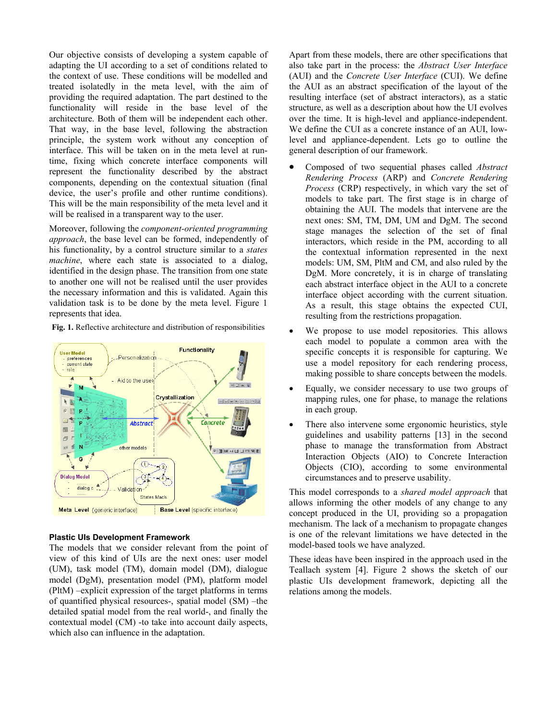Our objective consists of developing a system capable of adapting the UI according to a set of conditions related to the context of use. These conditions will be modelled and treated isolatedly in the meta level, with the aim of providing the required adaptation. The part destined to the functionality will reside in the base level of the architecture. Both of them will be independent each other. That way, in the base level, following the abstraction principle, the system work without any conception of interface. This will be taken on in the meta level at runtime, fixing which concrete interface components will represent the functionality described by the abstract components, depending on the contextual situation (final device, the user's profile and other runtime conditions). This will be the main responsibility of the meta level and it will be realised in a transparent way to the user.

Moreover, following the *component-oriented programming approach*, the base level can be formed, independently of his functionality, by a control structure similar to a *states machine*, where each state is associated to a dialog, identified in the design phase. The transition from one state to another one will not be realised until the user provides the necessary information and this is validated. Again this validation task is to be done by the meta level. Figure 1 represents that idea.

**Fig. 1.** Reflective architecture and distribution of responsibilities



#### **Plastic UIs Development Framework**

The models that we consider relevant from the point of view of this kind of UIs are the next ones: user model (UM), task model (TM), domain model (DM), dialogue model (DgM), presentation model (PM), platform model (PltM) –explicit expression of the target platforms in terms of quantified physical resources-, spatial model (SM) –the detailed spatial model from the real world-, and finally the contextual model (CM) -to take into account daily aspects, which also can influence in the adaptation.

Apart from these models, there are other specifications that also take part in the process: the *Abstract User Interface* (AUI) and the *Concrete User Interface* (CUI). We define the AUI as an abstract specification of the layout of the resulting interface (set of abstract interactors), as a static structure, as well as a description about how the UI evolves over the time. It is high-level and appliance-independent. We define the CUI as a concrete instance of an AUI, lowlevel and appliance-dependent. Lets go to outline the general description of our framework.

- Composed of two sequential phases called *Abstract Rendering Process* (ARP) and *Concrete Rendering Process* (CRP) respectively, in which vary the set of models to take part. The first stage is in charge of obtaining the AUI. The models that intervene are the next ones: SM, TM, DM, UM and DgM. The second stage manages the selection of the set of final interactors, which reside in the PM, according to all the contextual information represented in the next models: UM, SM, PltM and CM, and also ruled by the DgM. More concretely, it is in charge of translating each abstract interface object in the AUI to a concrete interface object according with the current situation. As a result, this stage obtains the expected CUI, resulting from the restrictions propagation.
- We propose to use model repositories. This allows each model to populate a common area with the specific concepts it is responsible for capturing. We use a model repository for each rendering process, making possible to share concepts between the models.
- Equally, we consider necessary to use two groups of mapping rules, one for phase, to manage the relations in each group.
- There also intervene some ergonomic heuristics, style guidelines and usability patterns [13] in the second phase to manage the transformation from Abstract Interaction Objects (AIO) to Concrete Interaction Objects (CIO), according to some environmental circumstances and to preserve usability.

This model corresponds to a *shared model approach* that allows informing the other models of any change to any concept produced in the UI, providing so a propagation mechanism. The lack of a mechanism to propagate changes is one of the relevant limitations we have detected in the model-based tools we have analyzed.

These ideas have been inspired in the approach used in the Teallach system [4]. Figure 2 shows the sketch of our plastic UIs development framework, depicting all the relations among the models.